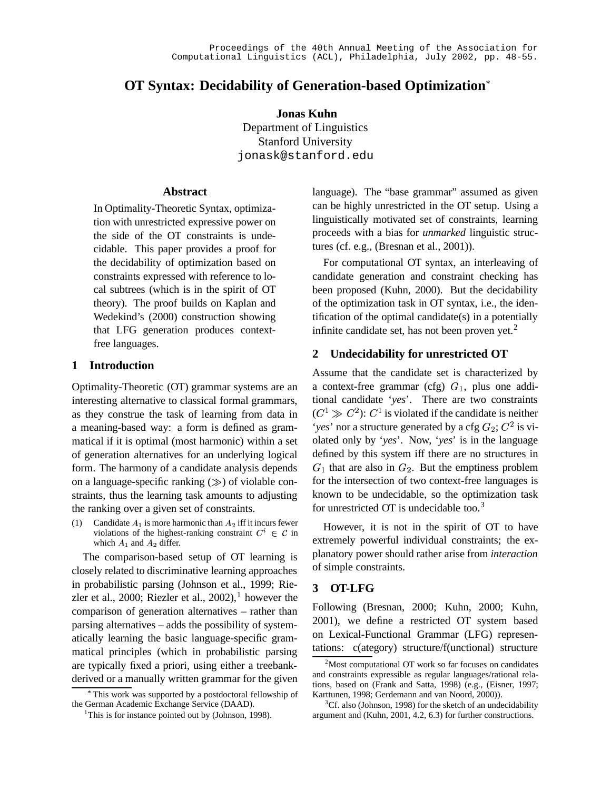# **OT Syntax: Decidability of Generation-based Optimization**

**Jonas Kuhn** Department of Linguistics Stanford University

jonask@stanford.edu

# **Abstract**

In Optimality-Theoretic Syntax, optimization with unrestricted expressive power on the side of the OT constraints is undecidable. This paper provides a proof for the decidability of optimization based on constraints expressed with reference to local subtrees (which is in the spirit of OT theory). The proof builds on Kaplan and Wedekind's (2000) construction showing that LFG generation produces contextfree languages.

### **1 Introduction**

Optimality-Theoretic (OT) grammar systems are an interesting alternative to classical formal grammars, as they construe the task of learning from data in a meaning-based way: a form is defined as grammatical if it is optimal (most harmonic) within a set of generation alternatives for an underlying logical form. The harmony of a candidate analysis depends on a language-specific ranking  $(\gg)$  of violable constraints, thus the learning task amounts to adjusting the ranking over a given set of constraints.

(1) Candidate  $A_1$  is more harmonic than  $A_2$  iff it incurs fewer violations of the highest-ranking constraint  $C^* \in \mathcal{C}$  in which  $A_1$  and  $A_2$  differ.

The comparison-based setup of OT learning is closely related to discriminative learning approaches in probabilistic parsing (Johnson et al., 1999; Riezler et al., 2000; Riezler et al., 2002),<sup>1</sup> however the comparison of generation alternatives – rather than parsing alternatives – adds the possibility of systematically learning the basic language-specific grammatical principles (which in probabilistic parsing are typically fixed a priori, using either a treebankderived or a manually written grammar for the given language). The "base grammar" assumed as given can be highly unrestricted in the OT setup. Using a linguistically motivated set of constraints, learning proceeds with a bias for *unmarked* linguistic structures (cf. e.g., (Bresnan et al., 2001)).

For computational OT syntax, an interleaving of candidate generation and constraint checking has been proposed (Kuhn, 2000). But the decidability of the optimization task in OT syntax, i.e., the identification of the optimal candidate(s) in a potentially infinite candidate set, has not been proven yet.<sup>2</sup>

# **2 Undecidability for unrestricted OT**

Assume that the candidate set is characterized by a context-free grammar (cfg)  $G_1$ , plus one additional candidate '*yes*'. There are two constraints  $(C^1 \gg C^2)$ :  $C^1$  is violated if the candidate is neither '*yes*' nor a structure generated by a cfg  $G_2$ ;  $C^2$  is vi olated only by '*yes*'. Now, '*yes*' is in the language defined by this system iff there are no structures in  $G_1$  that are also in  $G_2$ . But the emptiness problem for the intersection of two context-free languages is known to be undecidable, so the optimization task for unrestricted OT is undecidable too.<sup>3</sup>

However, it is not in the spirit of OT to have extremely powerful individual constraints; the explanatory power should rather arise from *interaction* of simple constraints.

## **3 OT-LFG**

Following (Bresnan, 2000; Kuhn, 2000; Kuhn, 2001), we define a restricted OT system based on Lexical-Functional Grammar (LFG) representations: c(ategory) structure/f(unctional) structure

This work was supported by a postdoctoral fellowship of the German Academic Exchange Service (DAAD).

<sup>&</sup>lt;sup>1</sup>This is for instance pointed out by (Johnson, 1998).

 $2^2$ Most computational OT work so far focuses on candidates and constraints expressible as regular languages/rational relations, based on (Frank and Satta, 1998) (e.g., (Eisner, 1997; Karttunen, 1998; Gerdemann and van Noord, 2000)).

 ${}^{3}$ Cf. also (Johnson, 1998) for the sketch of an undecidability argument and (Kuhn, 2001, 4.2, 6.3) for further constructions.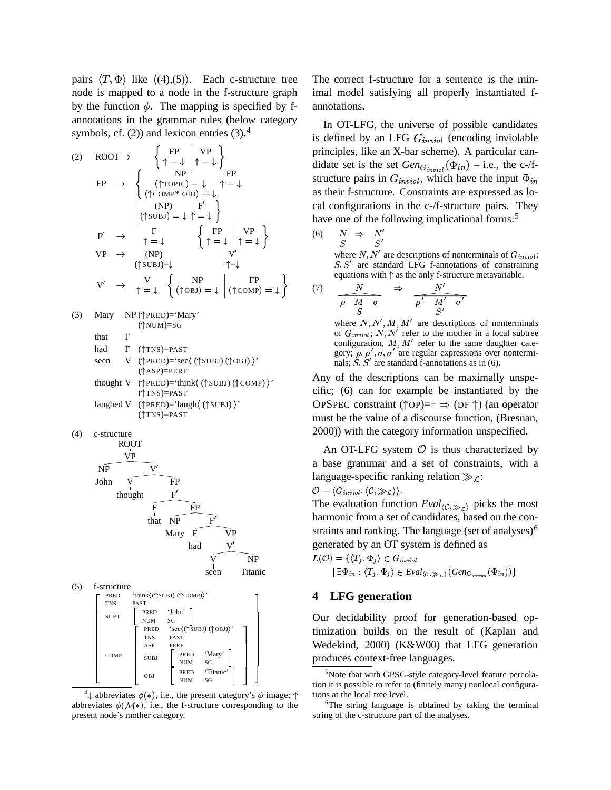pairs  $\langle T, \Phi \rangle$  like  $\langle (4), (5) \rangle$ . Each c-structure tree node is mapped to a node in the f-structure graph by the function  $\phi$ . The mapping is specified by fannotations in the grammar rules (below category symbols, cf.  $(2)$ ) and lexicon entries  $(3)$ .<sup>4</sup>

(2) 
$$
ROOT \rightarrow \begin{cases} FP & VP \\ \uparrow = \downarrow \end{cases} \rightarrow \begin{cases} FP & PP \\ \uparrow = \downarrow \end{cases}
$$
  $prim$   $dida$   
\n $FP \rightarrow \begin{cases} ( \uparrow TOPC) = \downarrow & \uparrow = \downarrow \\ (\uparrow CONP* OBI) = \downarrow \end{cases} \rightarrow \begin{cases} FP & all  $stru$   $stru$   $stru$   $stru$   $stru$   $stru$   $stru$   $stru$   $stru$   $stru$   $stru$   $stru$   $stru$   $stru$   $stru$   $stru$   $stru$   $stru$   $stru$   $stru$   $stru$   $stru$   $stru$   $stru$   $stru$   $stru$   $stru$   $stru$   $stru$   $stru$   $stru$   $stru$   $stru$   $stru$   $stru$   $stru$   $stru$   $stru$   $stru$   $stru$   $stru$   $stru$   $stru$   $stru$   $stru$   $stru$   $stru$   $stru$   $stru$   $stru$   $stru$   $stru$   $stru$   $stru$   $stru$   $stru$   $stru$   $stru$   $stru$   $stru$   $stru$   $stru$   $stru$   $stru$   $stru$   $stru$   $stru$   $stru$   $stru$   $stru$   $stru$   $stru$   $stru$   $stru$   $stru$   $stru$   $stru$   $stru$   $stru$  <$ 

(3) Mary NP ( $\uparrow$ PRED)='Mary' ( NUM)=SG that F

$$
had \tF \t(\uparrow \text{TNS}) = \text{PAST}
$$

- seen V ( $\uparrow$ PRED)='see $\langle$  ( $\uparrow$ SUBJ) ( $\uparrow$ OBJ)  $\rangle$ ' ( ASP)=PERF
- thought V  $(\uparrow$ PRED)='think $\langle (\uparrow$ SUBJ) $(\uparrow$ COMP) $)$ ' ( TNS)=PAST
- laughed V († PRED) = 'laugh ( († SUBJ) )' ( TNS)=PAST

(4) c-structure



 $(5)$  f-structure " **TNS** " SU<sub>B</sub> " " " "#  $PRED$  'think  $((\uparrow \text{SUBJ}) (\uparrow \text{COMP})$ ' PAST PRED<br>NUM<br>PRED 'John' NUM SG | COMP " " TNS 'see (( $\uparrow$ SUBJ) ( $\uparrow$ OBJ)) PAST ASP PERF SUBJ PRED 'Mary'<br>NUM SG NUM SG ( OBJ RED Titanic' J . PRED Titanic<br>NUM SG  $\mathbb{L}^+$ \* ,  $\mathbf 7$ \* \* \* \* \* \* \* and the contract of the contract of the contract of the contract of the contract of

<sup>4</sup>  $\downarrow$  abbreviates  $\phi(*)$ , i.e., the present category's  $\phi$  image;  $\uparrow$  tions a abbreviates  $\phi(M*)$ , i.e., the f-structure corresponding to the present node's mother category.

The correct f-structure for a sentence is the minimal model satisfying all properly instantiated fannotations.

In OT-LFG, the universe of possible candidates is defined by an LFG  $G_{inniol}$  (encoding inviolable principles, like an X-bar scheme). A particular candidate set is the set  $Gen_{G_{inmid}}(\Phi_{in})$  – i.e., the c-/fstructure pairs in  $G_{\text{inviol}}$ , which have the input  $\Phi_{\text{in}}$ as their f-structure. Constraints are expressed as local configurations in the c-/f-structure pairs. They have one of the following implicational forms:<sup>5</sup>

$$
\begin{array}{rcl}\n(6) & N & \Rightarrow & N' \\
S & S'\n\end{array}
$$

where  $N, N'$  are descriptions of nonterminals of  $G_{invol}$ ;  $S'$  are standard LFG f-annotations of constraining equations with  $\uparrow$  as the only f-structure metavariable.

$$
(7) \quad \frac{N}{\rho \quad M \quad \sigma} \quad \Rightarrow \quad \frac{N'}{\rho' \quad M' \quad \sigma'}
$$

where  $N, N', M, M'$  are descriptions of nonterminals of  $G_{inviol}$ ;  $N, N'$  refer to the mother in a local subtree configuration,  $M, M'$  refer to the same daughter category;  $\rho$ ,  $\rho'$ ,  $\sigma$ ,  $\sigma'$  are regular expressions over nonterminals; S, S' are standard f-annotations as in (6).

Any of the descriptions can be maximally unspecific; (6) can for example be instantiated by the OPSPEC constraint ( $\uparrow$ OP)=+  $\Rightarrow$  (DF  $\uparrow$ ) (an operator must be the value of a discourse function, (Bresnan, 2000)) with the category information unspecified.

An OT-LFG system  $\mathcal O$  is thus characterized by a base grammar and a set of constraints, with a language-specific ranking relation  $\gg_{\mathcal{L}}$ :

$$
\mathcal{O} = \langle G_{inviol}, \langle \mathcal{C}, \gg_{\mathcal{L}} \rangle \rangle.
$$

The evaluation function  $Eval_{\langle C, \ggg_L \rangle}$  picks the most harmonic from a set of candidates, based on the constraints and ranking. The language (set of analyses) $<sup>6</sup>$ </sup> generated by an OT system is defined as

$$
L(\mathcal{O}) = \{ \langle T_j, \Phi_j \rangle \in G_{inviol} \mid \exists \Phi_{in} : \langle T_j, \Phi_j \rangle \in Eval_{\langle \mathcal{C}, \gg_{\mathcal{L}} \rangle} (Gen_{G_{inviol}}(\Phi_{in})) \}
$$

# **4 LFG generation**

Our decidability proof for generation-based optimization builds on the result of (Kaplan and Wedekind, 2000) (K&W00) that LFG generation produces context-free languages.

<sup>&</sup>lt;sup>5</sup>Note that with GPSG-style category-level feature percolation it is possible to refer to (finitely many) nonlocal configurations at the local tree level.

<sup>&</sup>lt;sup>6</sup>The string language is obtained by taking the terminal string of the c-structure part of the analyses.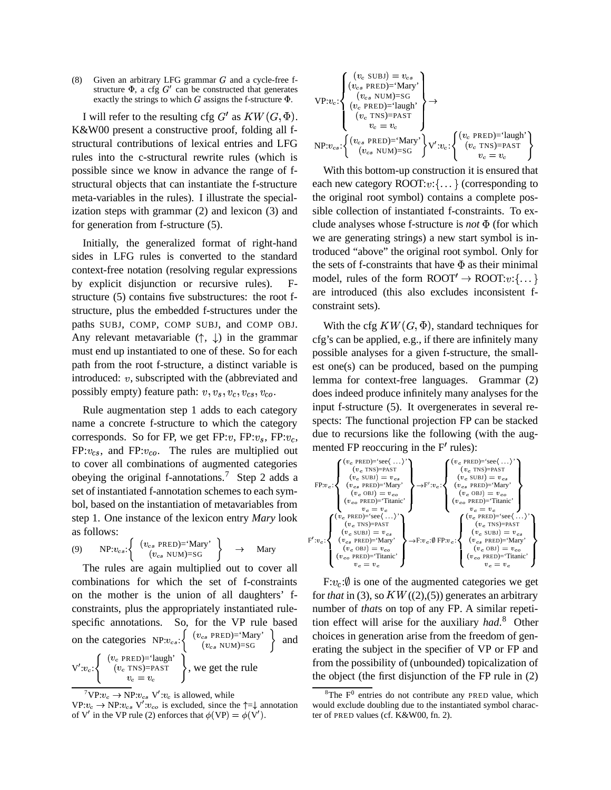(8) Given an arbitrary LFG grammar  $G$  and a cycle-free fstructure  $\Phi$ , a cfg  $G'$  can be constructed that generates exactly the strings to which  $G$  assigns the f-structure  $\Phi$ .

I will refer to the resulting cfg  $G'$  as  $KW(G,\Phi)$ . K&W00 present a constructive proof, folding all fstructural contributions of lexical entries and LFG rules into the c-structural rewrite rules (which is possible since we know in advance the range of fstructural objects that can instantiate the f-structure meta-variables in the rules). I illustrate the specialization steps with grammar (2) and lexicon (3) and for generation from f-structure (5).

Initially, the generalized format of right-hand sides in LFG rules is converted to the standard context-free notation (resolving regular expressions by explicit disjunction or recursive rules). structure (5) contains five substructures: the root fstructure, plus the embedded f-structures under the paths SUBJ, COMP, COMP SUBJ, and COMP OBJ. Any relevant metavariable  $(\uparrow, \downarrow)$  in the grammar must end up instantiated to one of these. So for each path from the root f-structure, a distinct variable is introduced:  $v$ , subscripted with the (abbreviated and possibly empty) feature path:  $v, v_s, v_c, v_{cs}, v_{co}$ .

Rule augmentation step 1 adds to each category name a concrete f-structure to which the category corresponds. So for FP, we get FP: $v$ , FP: $v_s$ , FP: $v_c$ ,  $FP: v_{cs}$ , and  $FP: v_{co}$ . The rules are multiplied out to cover all combinations of augmented categories obeying the original f-annotations.<sup>7</sup> Step 2 adds a set of instantiated f-annotation schemes to each symbol, based on the instantiation of metavariables from step 1. One instance of the lexicon entry *Mary* look as follows:

(9) NP:
$$
v_{cs}
$$
: 
$$
\begin{cases} (v_{cs} \text{ PRED}) = 'Mary' \\ (v_{cs} \text{ NUM}) = SG \end{cases} \rightarrow \text{Mary} \stackrel{F':v}{\rightarrow}
$$

$$
y' \rightarrow \text{Mar}
$$

The rules are again multiplied out to cover all combinations for which the set of f-constraints on the mother is the union of all daughters' fconstraints, plus the appropriately instantiated rulespecific annotations. So, for the VP rule based on the categories  $NP: v_{cs}$ :  $\left\{ \begin{array}{c} (v_{cs} \text{ } PRED) = 'Mary' \\ (v_{cs} \text{ } NIM) = SG \end{array} \right\}$  $\begin{array}{c} \n\text{S} \text{PRED} = \text{Nary} \\
(v_{cs} \text{NUM}) = \text{SG} \n\end{array}$  and  $\begin{array}{c} \n\text{C} \n\end{array}$  $V':v_c:\left\{ \qquad (v_c \text{ TNS})\right\}$  $(v_c$  PRED)='laugh'<br> $(v_c$  TNS)=PAST RED)='laugh'<br>TNS)=PAST<br> $v_c = v_c$ , we get the rule

tree f-  
\nerates  
\ne 
$$
\Phi
$$
.

\nVP: $v_c$ :  
\n
$$
\left\{\n \begin{array}{l}\n (v_c \text{ SUBJ}) = v_{cs} \\
 (v_{cs} \text{ PRED}) = \text{'Mary'} \\
 (v_c \text{ NUM}) = \text{SG} \\
 (v_c \text{ PRED}) = \text{'langh'}\n \end{array}\n \right\}\n \rightarrow
$$
\nUH:

\nUH

\nUH

\nNP: $v_{cs}$ :  
\n
$$
\left\{\n \begin{array}{l}\n (v_c \text{ NED}) = \text{'Mary'} \\
 (v_c \text{ NEM}) = \text{SG}\n \end{array}\n \right\}\n \quad V':v_c
$$
:  
\n
$$
\left\{\n \begin{array}{l}\n (v_c \text{ PRED}) = \text{'langh'} \\
 (v_c \text{ NEM}) = \text{SG}\n \end{array}\n \right\}
$$
\nU':v\_c

\nU:

\nUH

\nUH

\nUH

\nUH

\nUH

\nUH

\nUH

\nUH

\nUH

\nUH

\nUH

\nUH

\nUH

\nUH

\nUH

\nUH

\nUH

\nUH

\nUH

\nUH

\nUH

\nUH

\nUH

\nUH

\nUH

\nUH

\nUH

\nUH

\nUH

\nUH

\nUH

\nUH

\nUH

\nUH

\nUH

\nUH

\nUH

\nUH

\nUH

\nUH

\nUH

\nUH

\nUH

\nUH

\nUH

\nUH

\nUH

\nUH

\nUH

\nUH

\nUH

\nUH

\nUH

\nUH

\

 $\mathcal{L} = \{1, 2, \ldots, n\}$ 

With this bottom-up construction it is ensured that each new category  $\text{ROOT}: v:\{\ldots\}$  (corresponding to the original root symbol) contains a complete possible collection of instantiated f-constraints. To exclude analyses whose f-structure is *not* (for which we are generating strings) a new start symbol is introduced "above" the original root symbol. Only for the sets of f-constraints that have  $\Phi$  as their minimal model, rules of the form  $\text{ROOT}' \to \text{ROOT}:v:\{ \dots \}$ are introduced (this also excludes inconsistent fconstraint sets).

With the cfg  $KW(G,\Phi)$ , standard te  $(\Phi)$ , standard techniques for cfg's can be applied, e.g., if there are infinitely many possible analyses for a given f-structure, the smallest one(s) can be produced, based on the pumping lemma for context-free languages. Grammar (2) does indeed produce infinitely many analyses for the input f-structure (5). It overgenerates in several respects: The functional projection FP can be stacked due to recursions like the following (with the augmented FP reoccuring in the  $F'$  rules):



for *that* in (3), so  $KW((2),(5))$  generates an arbitrary number of *that*s on top of any FP. A similar repetition effect will arise for the auxiliary *had*. <sup>8</sup> Other choices in generation arise from the freedom of generating the subject in the specifier of VP or FP and from the possibility of (unbounded) topicalization of the object (the first disjunction of the FP rule in (2)

 $^7{\rm VP}: v_c \rightarrow {\rm NP}: v_{cs} \; {\rm V':} v_c$  is allowed, while

 $VP: v_c \rightarrow NP: v_{cs} \; V': v_{co}$  is excluded, since the  $\uparrow = \downarrow$  annotation of V' in the VP rule (2) enforces that  $\phi(VP) = \phi(V')$ .

 ${}^{8}$ The F<sup>0</sup> entries do not contribute any PRED value, which would exclude doubling due to the instantiated symbol character of PRED values (cf. K&W00, fn. 2).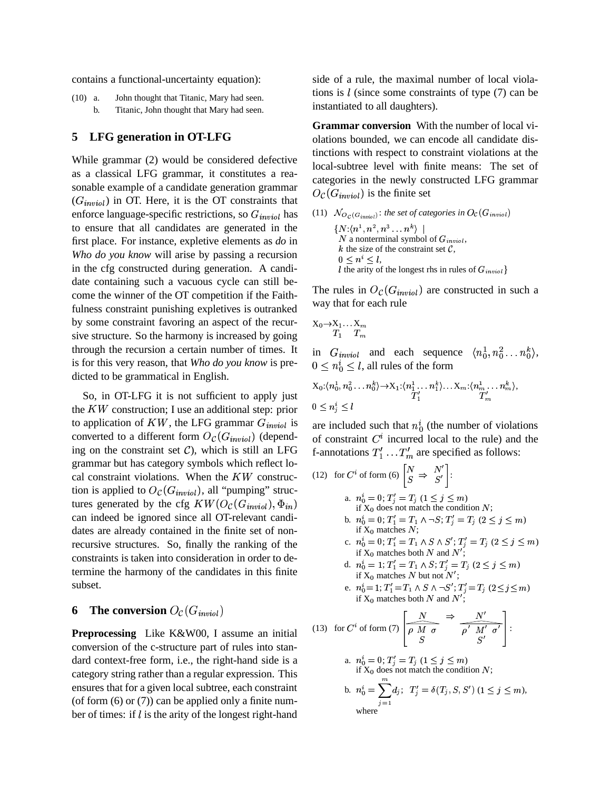contains a functional-uncertainty equation):

(10) a. John thought that Titanic, Mary had seen. b. Titanic, John thought that Mary had seen.

#### **5 LFG generation in OT-LFG**

While grammar (2) would be considered defective as a classical LFG grammar, it constitutes a reasonable example of a candidate generation grammar  $(G<sub>inviol</sub>)$  in OT. Here, it is the OT constraints that enforce language-specific restrictions, so  $G_{inviol}$  has to ensure that all candidates are generated in the first place. For instance, expletive elements as *do* in *Who do you know* will arise by passing a recursion in the cfg constructed during generation. A candidate containing such a vacuous cycle can still become the winner of the OT competition if the Faithfulness constraint punishing expletives is outranked by some constraint favoring an aspect of the recursive structure. So the harmony is increased by going through the recursion a certain number of times. It is for this very reason, that *Who do you know* is predicted to be grammatical in English.

So, in OT-LFG it is not sufficient to apply just the  $KW$  construction; I use an additional step: prior to application of KW, the LFG grammar  $G_{invol}$  is are in converted to a different form  $O_{\mathcal{C}}(G_{\text{inviol}})$  (depending on the constraint set  $C$ ), which is still an LFG grammar but has category symbols which reflect local constraint violations. When the  $KW$  construction is applied to  $O_c(G_{inviol})$ , all "pumping" structures generated by the cfg  $KW(O_{\mathcal{C}}(G_{invol}),\Phi_{in})$ the contract of the contract of the contract of the contract of the contract of the contract of the contract of 2+4 <sup>G</sup> can indeed be ignored since all OT-relevant candidates are already contained in the finite set of nonrecursive structures. So, finally the ranking of the constraints is taken into consideration in order to determine the harmony of the candidates in this finite subset.

### **6 The conversion**  $O_{\mathcal{C}}(G_{\textit{inviol}})$

**Preprocessing** Like K&W00, I assume an initial conversion of the c-structure part of rules into standard context-free form, i.e., the right-hand side is a category string rather than a regular expression. This ensures that for a given local subtree, each constraint (of form  $(6)$  or  $(7)$ ) can be applied only a finite number of times: if  $l$  is the arity of the longest right-hand

side of a rule, the maximal number of local violations is  $l$  (since some constraints of type  $(7)$  can be instantiated to all daughters).

**Grammar conversion** With the number of local violations bounded, we can encode all candidate distinctions with respect to constraint violations at the local-subtree level with finite means: The set of categories in the newly constructed LFG grammar  $O_{\mathcal{C}}(G_{\text{inviol}})$  is the finite set

(11)  $N_{Q_{\mathcal{C}}(G_{initial})}$ : the set of categories in  $O_{\mathcal{C}}(G_{inviol})$  $\{N{:}\langle n^{\scriptscriptstyle{1}}, n^{\scriptscriptstyle{2}}, n^{\scriptscriptstyle{3}}\ldots n^{\scriptscriptstyle{k}}\rangle\,\mid\, 1\}$ N a nonterminal symbol of  $G_{inviol}$ , k the size of the constraint set  $\mathcal{C}$ ,  $0 \leq n^* \leq l$ , I the arity of the longest rhs in rules of  $G_{inviol}$ the contract of the contract of the contract of the contract of the contract of the contract of the contract of

The rules in  $O_c(G_{\text{inviol}})$  are constructed in such a way that for each rule

$$
\begin{array}{cc}\mathrm{X}_0{\rightarrow}\mathrm{X}_1{\ldots}\mathrm{X}_m\\T_1&T_m\end{array}
$$

in  $G_{inviol}$  and each sequence  $\langle n_0^1, n_0^2 \ldots n_0^k \rangle$ ,  $0 \leq n_0^i \leq l$ , all rules of the form

$$
X_0:\langle n_0^1, n_0^2 \ldots n_0^k \rangle \to X_1:\langle n_1^1, \ldots n_1^k \rangle \ldots X_m:\langle n_m^1, \ldots n_m^k \rangle,
$$
  

$$
0 \le n_j^i \le l
$$

are included such that  $n_0^i$  (the number of violations of constraint  $C<sup>i</sup>$  incurred local to the rule) and the f-annotations  $T'_1 \dots T'_m$  are specified as follows:

(12) for 
$$
C^i
$$
 of form (6)  $\begin{bmatrix} N \\ S \end{bmatrix} \Rightarrow \begin{bmatrix} N' \\ S' \end{bmatrix}$ :

a. 
$$
n_0^i = 0; T'_j = T_j
$$
  $(1 \le j \le m)$   
if X<sub>0</sub> does not match the condition N;

- b.  $n_0^i = 0; T_1' = T_1 \wedge \neg S; T_2' = T_3 \ (2 \leq j \leq m)$ if  $X_0$  matches  $N$ ;
- c.  $n_0^i = 0; T_1' = T_1 \wedge S \wedge S'; T_j' = T_j \ (2 \leq j \leq m)$ if  $X_0$  matches both N and N';

d. 
$$
n_0^i = 1; T_1' = T_1 \wedge S; T_j' = T_j \ (2 \le j \le m)
$$
  
if X<sub>0</sub> matches *N* but not *N'*;

e.  $n_0^i = 1; T_1' = T_1 \wedge S \wedge \neg S'; T_j' = T_j \ (2 \leq j \leq m)$ if  $X_0$  matches both N and N';

(13) for 
$$
C^i
$$
 of form (7)  $\left[\begin{array}{c} \overbrace{\rho \ M \ \sigma}^N \end{array}\right] \Rightarrow \frac{N'}{\rho' \ M' \ \sigma'}\right]$ :

\n- a. 
$$
n_0^i = 0; T'_j = T_j
$$
  $(1 \leq j \leq m)$  if  $X_0$  does not match the condition  $N$ ;
\n- b.  $n_0^i = \sum_{j=1}^m d_j$ ;  $T'_j = \delta(T_j, S, S')$   $(1 \leq j \leq m)$ , where
\n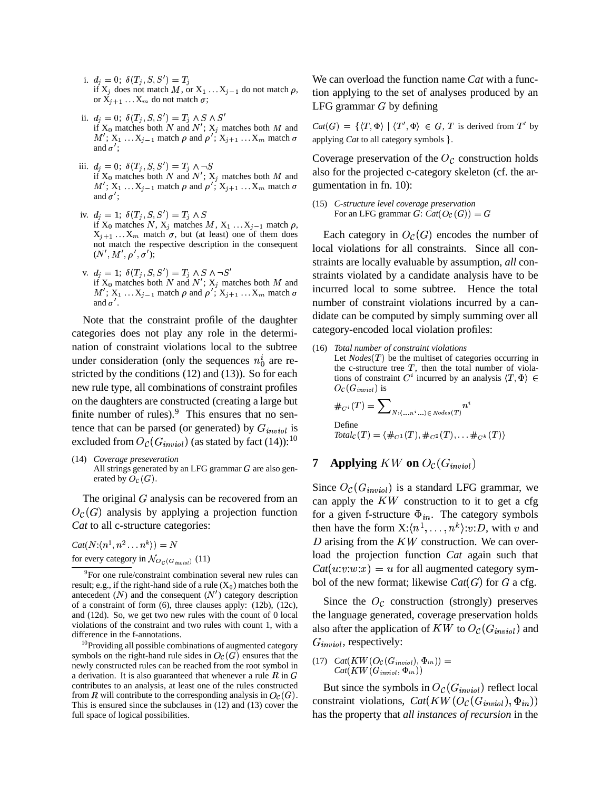- i.  $d_j = 0$ ;  $\delta(T_j, S, S') = T_j$ if  $X_j$  does not match M, or  $X_1 \ldots X_{j-1}$  do not match  $\rho$ , tion a or  $X_{j+1}$  ...  $X_m$  do not match  $\sigma$ ;
- ii.  $d_j = 0$ ;  $\delta(T_j, S, S') = T_j \wedge S \wedge S'$  $M'$ ;  $X_1 \ldots X_{j-1}$  match  $\rho$  and  $\rho'$ ;  $X_{j+1} \ldots X_m$  match  $\sigma$  applying if  $X_0$  matches both N and N';  $X_j$  matches both M and  $Cat(G) = \{$ and  $\sigma'$ ;
- iii.  $d_j = 0$ ;  $\delta(T_j, S, S') = T_j \wedge \neg S$ if  $X_0$  matches both N and  $N'$ ;  $X_j$  matches both M and also for the  $M'$ ;  $X_1 \ldots X_{j-1}$  match  $\rho$  and  $\rho'$ ;  $X_{j+1} \ldots X_m$  match  $\sigma$  gumen and  $\sigma^{\prime}$  ;
- iv.  $d_j = 1; \ \delta(T_j, S, S') = T_j \wedge S$ if  $X_0$  matches  $N, X_j$  matches  $M, X_1 \ldots X_{j-1}$  match  $\rho$ ,  $X_{j+1}$ ...  $X_m$  match  $\sigma$ , but (at least) one of them does not match the respective description in the consequent  $(N',M',\rho',\sigma');$
- v.  $d_j = 1; \ \delta(T_j, S, S') = T_j \wedge S \wedge \neg S'$ if  $X_0$  matches both N and  $N'$ ;  $X_j$  matches both M and  $M'$ ;  $X_1 \ldots X_{j-1}$  match  $\rho$  and  $\rho'$ ;  $X_{j+1} \ldots X_m$  match  $\sigma$  Incurre and  $\sigma'$ .

Note that the constraint profile of the daughter categories does not play any role in the determination of constraint violations local to the subtree under consideration (only the sequences  $n_0^i$  are restricted by the conditions (12) and (13)). So for each new rule type, all combinations of constraint profiles on the daughters are constructed (creating a large but finite number of rules). $9$  This ensures that no sentence that can be parsed (or generated) by  $G_{inviol}$  is excluded from  $O_{\mathcal{C}}(G_{\textit{inviol}})$  (as stated by fact (14)):  $^{10}$ 

(14) *Coverage preseveration* All strings generated by an LFG grammar  $G$  are also generated by  $O_{\mathcal{C}}(G)$ .

The original  $G$  analysis can be recovered from an  $O_{\mathcal{C}}(G)$  analysis by applying a projection function *Cat* to all c-structure categories:

 $Cat(N:(n^1, n^2 \ldots n^k)) = N$ for every category in  $\mathcal{N}_{O_{\mathcal{C}}(G_{initial})}$  (11)

 $10P$  Providing all possible combinations of augmented category symbols on the right-hand rule sides in  $O_{\mathcal{C}}(G)$  ensures that the newly constructed rules can be reached from the root symbol in a derivation. It is also guaranteed that whenever a rule R in  $G$ contributes to an analysis, at least one of the rules constructed from R will contribute to the corresponding analysis in  $O_{\mathcal{C}}(G)$ . This is ensured since the subclauses in (12) and (13) cover the full space of logical possibilities.

We can overload the function name *Cat* with a function applying to the set of analyses produced by an LFG grammar  $G$  by defining

 $Cat(G) = \{ \langle T, \Phi \rangle \mid \langle T', \Phi \rangle \in G, T \text{ is derived from } T' \text{ by }$ applying *Cat* to all category symbols .

Coverage preservation of the  $O_{\mathcal{C}}$  construction holds also for the projected c-category skeleton (cf. the argumentation in fn. 10):

(15) *C-structure level coverage preservation* For an LFG grammar  $G$ :  $Cat(O_{\mathcal{C}}(G)) = G$ 

Each category in  $O_{\mathcal{C}}(G)$  encodes the number of local violations for all constraints. Since all constraints are locally evaluable by assumption, *all* constraints violated by a candidate analysis have to be incurred local to some subtree. Hence the total number of constraint violations incurred by a candidate can be computed by simply summing over all category-encoded local violation profiles:

(16) *Total number of constraint violations* Let  $Nodes(T)$  be the multiset of categories occurring in the c-structure tree  $T$ , then the total number of violations of constraint  $C^i$  incurred by an analysis  $\langle T, \Phi \rangle$  $O_{\mathcal{C}}(G_{\mathit{inviol}})$  is

$$
\#_{C^i}(T) = \sum_{N: \langle \dots n^i \dots \rangle \in Nodes(T)} n^i
$$
  
Define  

$$
Total_C(T) = \langle \#_{C^1}(T), \#_{C^2}(T), \dots \#_{C^k}(T) \rangle
$$

**7 Applying**  $KW$  on  $O_{\mathcal{C}}(G_{invol})$ 

Since  $O_{\mathcal{C}}(G_{\text{inviol}})$  is a standard LFG grammar, we can apply the  $KW$  construction to it to get a cfg for a given f-structure  $\Phi_{in}$ . The category symbols then have the form  $X: \langle n^1, \ldots, n^k \rangle : v: D$ , with v and D arising from the  $KW$  construction. We can overload the projection function *Cat* again such that  $Cat(u:v:w:x) = u$  for all augmented category symbol of the new format; likewise  $Cat(G)$  for  $G$  a cfg.

Since the  $O_{\mathcal{C}}$  construction (strongly) preserves the language generated, coverage preservation holds also after the application of  $KW$  to  $O_{\mathcal{C}}(G_{\mathit{inviol}})$  and  $G_{invol}$ , respectively:

 $Cat(KW(G_{inviol}, \Phi_{in}))$  $(17) \ \ \text{Cat}(KW(O_{\mathcal{C}}(G_{invio}), \Phi_{in})) =$ 

But since the symbols in  $O_{\mathcal{C}}(G_{\text{inviol}})$  reflect local constraint violations,  $Cat(KW(O_{\mathcal{C}}(G_{invol}), \Phi_{in}))$ the contract of the contract of the contract of the contract of the contract of the contract of the contract of <sup>254</sup> G<G has the property that *all instances of recursion* in the

<sup>9</sup> For one rule/constraint combination several new rules can result; e.g., if the right-hand side of a rule  $(X_0)$  matches both the antecedent  $(N)$  and the consequent  $(N')$  category description of a constraint of form (6), three clauses apply: (12b), (12c), and (12d). So, we get two new rules with the count of 0 local violations of the constraint and two rules with count 1, with a difference in the f-annotations.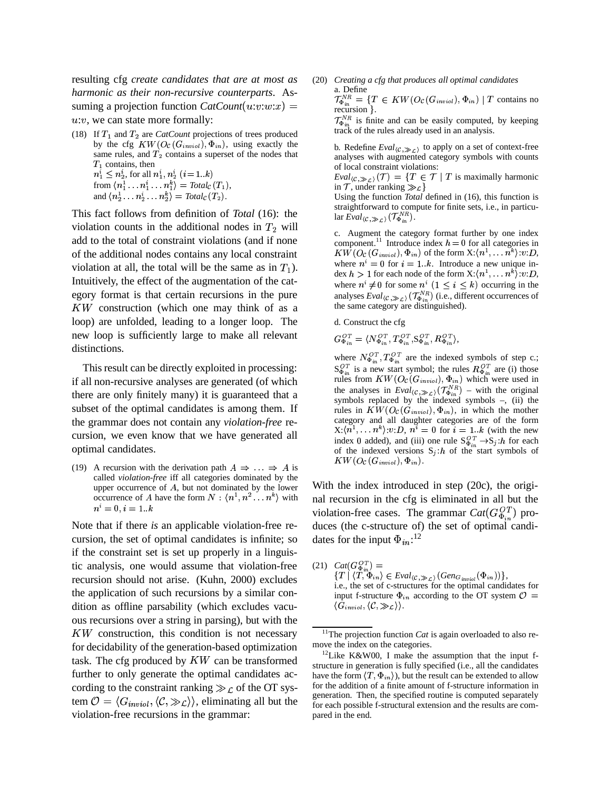resulting cfg *create candidates that are at most as harmonic as their non-recursive counterparts*. Assuming a projection function  $CatCount(u:v:w:x)$  =  $u$ : $v$ , we can state more formally:

(18) If  $T_1$  and  $T_2$  are *CatCount* projections of trees produced by the cfg  $KW(O_{\mathcal{C}}(G_{\mathit{inviol}}), \Phi_{\mathit{in}}),$  using exactly the same rules, and  $T_2$  contains a superset of the nodes that  $T_1$  contains, then  $n_1^i \leq n_2^i$ , for all  $n_1^i$ ,  $n_2^i$   $(i = 1..k)$ from  $\langle n_1^1 \ldots n_1^k \ldots n_1^k \rangle = \text{Total}_{\mathcal{C}}(T_1),$ and  $\langle n_2^1 \ldots n_2^k \ldots n_2^k \rangle = \text{Total}_{\mathcal{C}}(T_2)$ .

This fact follows from definition of *Total* (16): the violation counts in the additional nodes in  $T_2$  will add to the total of constraint violations (and if none of the additional nodes contains any local constraint violation at all, the total will be the same as in  $T_1$ ). Where Intuitively, the effect of the augmentation of the category format is that certain recursions in the pure  $KW$  construction (which one may think of as a loop) are unfolded, leading to a longer loop. The new loop is sufficiently large to make all relevant distinctions.

This result can be directly exploited in processing: if all non-recursive analyses are generated (of which there are only finitely many) it is guaranteed that a subset of the optimal candidates is among them. If the grammar does not contain any *violation-free* recursion, we even know that we have generated all optimal candidates.

(19) A recursion with the derivation path  $A \Rightarrow \dots \Rightarrow A$  is called *violation-free* iff all categories dominated by the upper occurrence of  $A$ , but not dominated by the lower occurrence of A have the form  $N : \langle n^1, n^2 \dots n^k \rangle$  with  $n^i = 0, i = 1, k$ 

Note that if there *is* an applicable violation-free recursion, the set of optimal candidates is infinite; so if the constraint set is set up properly in a linguistic analysis, one would assume that violation-free recursion should not arise. (Kuhn, 2000) excludes the application of such recursions by a similar condition as offline parsability (which excludes vacuous recursions over a string in parsing), but with the KW construction, this condition is not necessary for decidability of the generation-based optimization task. The cfg produced by  $KW$  can be transformed further to only generate the optimal candidates according to the constraint ranking  $\gg$   $\mathcal{L}$  of the OT system  $\mathcal{O} = \langle G_{\text{invol}}, \langle \mathcal{C}, \gg_{\mathcal{L}} \rangle \rangle$ , eliminating all but the violation-free recursions in the grammar:

(20) *Creating a cfg that produces all optimal candidates* a. Define<br>  $\mathcal{T}_{\Phi_{in}}^{NR} = \{T \in KW(O_{\mathcal{C}}(G_{inviol}), \Phi_{in}) \mid T \text{ contains no} \}$ recursion }.

 $\mathcal{T}_{\Phi_{in}}^{NR}$  is finite and can be easily computed, by keeping track of the rules already used in an analysis.

b. Redefine  $Eval_{\langle \mathcal{C}, \gg_{\mathcal{L}} \rangle}$  to apply on a set of context-free analyses with augmented category symbols with counts of local constraint violations:

 $Eval_{(\mathcal{C}, \gg_{\mathcal{C}})}(\mathcal{T}) = \{T \in \mathcal{T} \mid T \text{ is maximally harmonic} \}$ in T, under ranking  $\gg \mathcal{L}$ }

Using the function *Total* defined in (16), this function is straightforward to compute for finite sets, i.e., in particu- $\text{lar } \text{Eval}_{\langle \mathcal{C}, \gg_{\mathcal{C}} \rangle}(\mathcal{T}_{\Phi_{in}}^{NR}).$ 

c. Augment the category format further by one index component.<sup>11</sup> Introduce index  $h = 0$  for all categories in  $KW(O_{\mathcal{C}}(G_{\mathit{inviol}}),\Phi_{\mathit{in}})$  of the form  $\mathrm{X:}\langle n^{\perp},\ldots n^k\rangle{:}\mathit{v:D},$ where  $n^i = 0$  for  $i = 1..k$ . Introduce a new unique index  $h > 1$  for each node of the form  $X: \langle n^1, \ldots, n^k \rangle : v : D$ , where  $n^i \neq 0$  for some  $n^i$   $(1 \leq i \leq k)$  occurring in the analyses  $Eval_{(\mathcal{C}, \gg_{\mathcal{C}})}(\mathcal{T}_{\Phi_{i_m}}^{NR})$  (i.e., different occurrences of the same category are distinguished).

d. Construct the cfg

$$
G_{\Phi_{in}}^{OT} = \langle N_{\Phi_{in}}^{OT}, T_{\Phi_{in}}^{OT}, S_{\Phi_{in}}^{OT}, R_{\Phi_{in}}^{OT} \rangle,
$$

where  $N_{\Phi_{i_{\infty}}}^{O}T_{\Phi_{i_{\infty}}}^{O}$  are the indexed symbols of step c.;  $S_{\Phi_{i\alpha}}^{O}$  is a new start symbol; the rules  $R_{\Phi_{i\alpha}}^{O}$  are (i) those rules from  $KW(O_{\mathcal{C}}(G_{invol}), \Phi_{in})$  which were used in the analyses in  $Eval_{(\mathcal{C}, \gg_{\mathcal{C}})}(\mathcal{T}_{\Phi_{in}}^{NR})$  – with the original symbols replaced by the indexed symbols –, (ii) the rules in  $KW(O<sub>C</sub>(G<sub>inviol</sub>), \Phi<sub>in</sub>)$ , in which the mother category and all daughter categories are of the form  $X:(n^1,\ldots,n^k):v:D, n^i=0$  for  $i=1..k$  (with the new index 0 added), and (iii) one rule  $S_{\Phi_{in}}^{OT} \rightarrow S_j$ :*h* for each of the indexed versions  $S_j$ : *h* of the start symbols of  $KW(O_{\mathcal C}(G_{\mathit{inviol}}),\Phi_{\mathit{in}}).$ 

With the index introduced in step (20c), the original recursion in the cfg is eliminated in all but the violation-free cases. The grammar  $Cat(G_{\Phi_{i}}^{OT})$  produces (the c-structure of) the set of optimal candidates for the input  $\Phi_{in}$ :<sup>12</sup>

 $(21)$   $Cat(G_{\Phi_{in}}^{OT}) =$  $\{T \mid \langle T, \Phi_{in} \rangle \in \text{Eval}_{\langle C, \gg_C \rangle}(\text{Gen}_{G_{inviol}}(\Phi_{in}))\},$ i.e., the set of c-structures for the optimal candidates for input f-structure  $\Phi_{in}$  according to the OT system  $\mathcal{O} =$  $\langle G_{inviol}, \langle \mathcal{C}, \gg \mathcal{L} \rangle \rangle$ .

<sup>&</sup>lt;sup>11</sup>The projection function *Cat* is again overloaded to also remove the index on the categories.

<sup>&</sup>lt;sup>12</sup>Like K&W00, I make the assumption that the input fstructure in generation is fully specified (i.e., all the candidates have the form  $\langle T, \Phi_{in} \rangle$ ), but the result can be extended to allow for the addition of a finite amount of f-structure information in generation. Then, the specified routine is computed separately for each possible f-structural extension and the results are compared in the end.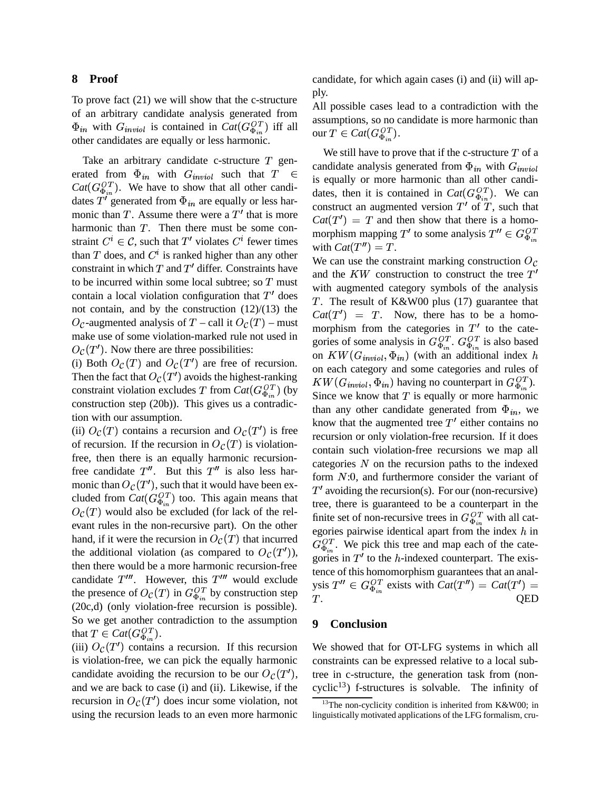#### **8 Proof**

To prove fact (21) we will show that the c-structure of an arbitrary candidate analysis generated from  $\Phi_{in}$  with  $G_{inviol}$  is contained in  $Cat(G_{\Phi_{in}}^{OT})$  iff all other candidates are equally or less harmonic.

Take an arbitrary candidate c-structure  $T$  generated from  $\Phi_{in}$  with  $G_{inviol}$  such that  $T \in \mathbb{R}^n$  $Cat(G_{\Phi_{in}}^{OT})$ . We have to show that all other candidates T' generated from  $\Phi_{in}$  are equally or less harmonic than  $T$ . Assume there were a  $T'$  that is more harmonic than  $T$ . Then there must be some constraint  $C^i \in \mathcal{C}$ , such that T' violates  $C^i$  fewer times than T does, and  $C^i$  is ranked higher than any other constraint in which  $T$  and  $T'$  differ. Constraints have to be incurred within some local subtree; so  $T$  must with a contain a local violation configuration that  $T'$  does not contain, and by the construction (12)/(13) the  $O_{\mathcal{C}}$ -augmented analysis of T – call it  $O_{\mathcal{C}}(T)$  – must more make use of some violation-marked rule not used in  $O_{\mathcal{C}}(T')$ . Now there are three possibilities:

(i) Both  $O_{\mathcal{C}}(T)$  and  $O_{\mathcal{C}}(T')$  are free of recursion. Then the fact that  $O_{\mathcal{C}}(T')$  avoids the highest-ranking constraint violation excludes T from  $Cat(G_{\Phi_{i\pi}}^{OT})$  (by  $\overline{G_{i\pi}}$ construction step (20b)). This gives us a contradiction with our assumption.

(ii)  $O_{\mathcal{C}}(T)$  contains a recursion and  $O_{\mathcal{C}}(T')$  is free of recursion. If the recursion in  $O_{\mathcal{C}}(T)$  is violationfree, then there is an equally harmonic recursionfree candidate  $T''$ . But this  $T''$  is also less harmonic than  $O_{\mathcal{C}}(T'),$  such that it would have been excluded from  $Cat(G_{\Phi_{in}}^{OT})$  too. This again means that  $_{\mathcal{C}}(T)$  would also be excluded (for lack of the relevant rules in the non-recursive part). On the other hand, if it were the recursion in  $O_{\mathcal{C}}(T)$  that incurred the additional violation (as compared to  $O_{\mathcal{C}}(T')$ ),  $\sum_{\alpha}^{\Phi_{in}}$ then there would be a more harmonic recursion-free candidate  $T'''$ . However, this  $T'''$  would exclude the presence of  $O_{\mathcal{C}}(T)$  in  $G_{\Phi_{i}}^{OT}$  by construction step (20c,d) (only violation-free recursion is possible). So we get another contradiction to the assumption that  $T \in Cat(G_{\Phi}^{OT}).$ 

(iii)  $O_{\mathcal{C}}(T')$  contains a recursion. If this recursion is violation-free, we can pick the equally harmonic candidate avoiding the recursion to be our  $O_{\mathcal{C}}(T')$ , tree in and we are back to case (i) and (ii). Likewise, if the recursion in  $O_{\mathcal{C}}(T')$  does incur some violation, not using the recursion leads to an even more harmonic

candidate, for which again cases (i) and (ii) will apply.

All possible cases lead to a contradiction with the assumptions, so no candidate is more harmonic than our  $T \in Cat(G_{\Phi_{\delta x}}^{OT})$ .

We still have to prove that if the c-structure  $T$  of a candidate analysis generated from  $\Phi_{in}$  with  $G_{inviol}$ is equally or more harmonic than all other candidates, then it is contained in  $Cat(G_{\Phi_{in}}^{OT})$ . We can construct an augmented version  $T'$  of  $T$ , such that  $Cat(T') = T$  and then show that there is a homomorphism mapping  $T'$  to some analysis  $T'' \in G_{\Phi}^{OT}$ with  $Cat(T'') = T$ .

We can use the constraint marking construction  $O_{\mathcal{C}}$ and the  $KW$  construction to construct the tree  $T'$ with augmented category symbols of the analysis . The result of K&W00 plus (17) guarantee that  $Cat(T') = T$ . Now, there has to be a homomorphism from the categories in  $T'$  to the categories of some analysis in  $G_{\Phi_{in}}^{OT}$ .  $G_{\Phi_{in}}^{OT}$  is also based on  $KW(G_{invol}, \Phi_{in})$  (with an additional index h on each category and some categories and rules of  $KW(G_{inviol}, \Phi_{in})$  having no counterpart in  $G_{\Phi_{in}}^{OT}$ ). Since we know that  $T$  is equally or more harmonic than any other candidate generated from  $\Phi_{in}$ , we know that the augmented tree  $T'$  either contains no recursion or only violation-free recursion. If it does contain such violation-free recursions we map all categories  $N$  on the recursion paths to the indexed form  $N:0$ , and furthermore consider the variant of  $T'$  avoiding the recursion(s). For our (non-recursive) tree, there is guaranteed to be a counterpart in the finite set of non-recursive trees in  $G_{\Phi}^{OT}$  with all categories pairwise identical apart from the index  $h$  in  $G_{\Phi}^{OT}$ . We pick this tree and map each of the categories in  $T'$  to the *h*-indexed counterpart. The existence of this homomorphism guarantees that an analysis  $T'' \in G_{\Phi_{in}}^{OT}$  exists with  $Cat(T'') = Cat(T')$  $T_{\perp}$ . QED

## **9 Conclusion**

We showed that for OT-LFG systems in which all constraints can be expressed relative to a local subtree in c-structure, the generation task from (noncyclic<sup>13</sup>) f-structures is solvable. The infinity of

<sup>&</sup>lt;sup>13</sup>The non-cyclicity condition is inherited from K&W00; in linguistically motivated applications of the LFG formalism, cru-